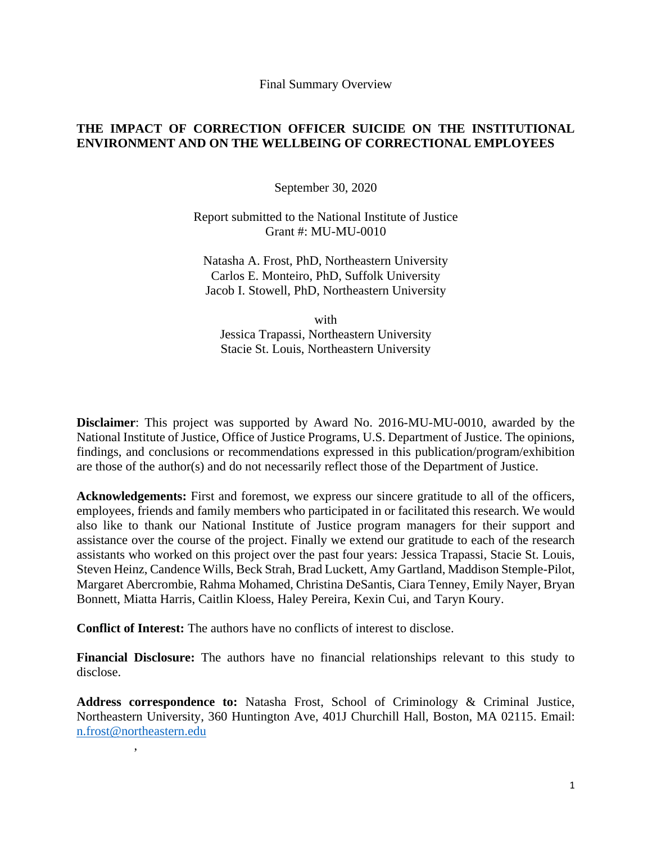Final Summary Overview

# **THE IMPACT OF CORRECTION OFFICER SUICIDE ON THE INSTITUTIONAL ENVIRONMENT AND ON THE WELLBEING OF CORRECTIONAL EMPLOYEES**

September 30, 2020

Report submitted to the National Institute of Justice Grant #: MU-MU-0010

Natasha A. Frost, PhD, Northeastern University Carlos E. Monteiro, PhD, Suffolk University Jacob I. Stowell, PhD, Northeastern University

with Jessica Trapassi, Northeastern University Stacie St. Louis, Northeastern University

**Disclaimer**: This project was supported by Award No. 2016-MU-MU-0010, awarded by the National Institute of Justice, Office of Justice Programs, U.S. Department of Justice. The opinions, findings, and conclusions or recommendations expressed in this publication/program/exhibition are those of the author(s) and do not necessarily reflect those of the Department of Justice.

**Acknowledgements:** First and foremost, we express our sincere gratitude to all of the officers, employees, friends and family members who participated in or facilitated this research. We would also like to thank our National Institute of Justice program managers for their support and assistance over the course of the project. Finally we extend our gratitude to each of the research assistants who worked on this project over the past four years: Jessica Trapassi, Stacie St. Louis, Steven Heinz, Candence Wills, Beck Strah, Brad Luckett, Amy Gartland, Maddison Stemple-Pilot, Margaret Abercrombie, Rahma Mohamed, Christina DeSantis, Ciara Tenney, Emily Nayer, Bryan Bonnett, Miatta Harris, Caitlin Kloess, Haley Pereira, Kexin Cui, and Taryn Koury.

**Conflict of Interest:** The authors have no conflicts of interest to disclose.

,

**Financial Disclosure:** The authors have no financial relationships relevant to this study to disclose.

**Address correspondence to:** Natasha Frost, School of Criminology & Criminal Justice, Northeastern University, 360 Huntington Ave, 401J Churchill Hall, Boston, MA 02115. Email: [n.frost@northeastern.edu](mailto:n.frost@northeastern.edu)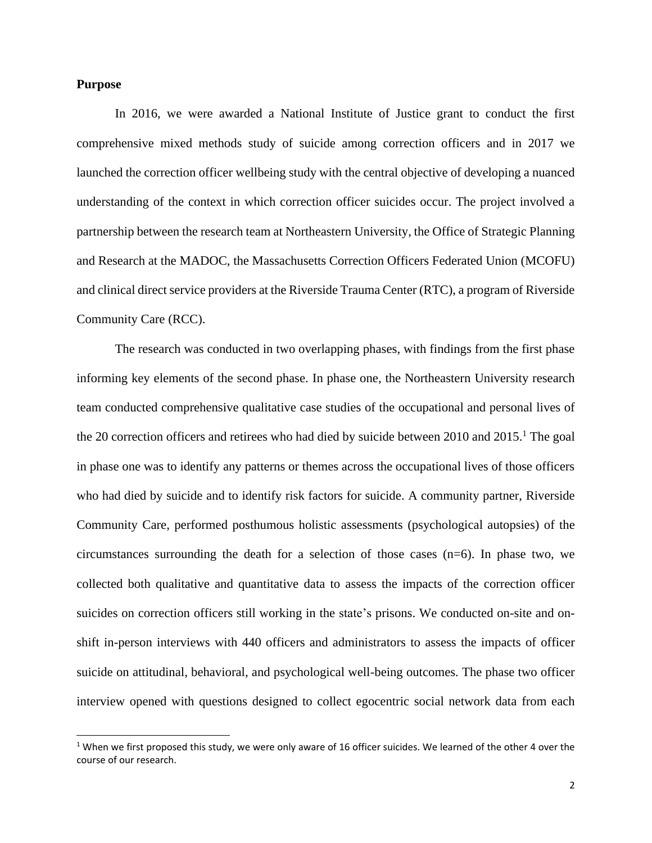## **Purpose**

In 2016, we were awarded a National Institute of Justice grant to conduct the first comprehensive mixed methods study of suicide among correction officers and in 2017 we launched the correction officer wellbeing study with the central objective of developing a nuanced understanding of the context in which correction officer suicides occur. The project involved a partnership between the research team at Northeastern University, the Office of Strategic Planning and Research at the MADOC, the Massachusetts Correction Officers Federated Union (MCOFU) and clinical direct service providers at the Riverside Trauma Center (RTC), a program of Riverside Community Care (RCC).

The research was conducted in two overlapping phases, with findings from the first phase informing key elements of the second phase. In phase one, the Northeastern University research team conducted comprehensive qualitative case studies of the occupational and personal lives of the 20 correction officers and retirees who had died by suicide between 2010 and 2015.<sup>1</sup> The goal in phase one was to identify any patterns or themes across the occupational lives of those officers who had died by suicide and to identify risk factors for suicide. A community partner, Riverside Community Care, performed posthumous holistic assessments (psychological autopsies) of the circumstances surrounding the death for a selection of those cases (n=6). In phase two, we collected both qualitative and quantitative data to assess the impacts of the correction officer suicides on correction officers still working in the state's prisons. We conducted on-site and onshift in-person interviews with 440 officers and administrators to assess the impacts of officer suicide on attitudinal, behavioral, and psychological well-being outcomes. The phase two officer interview opened with questions designed to collect egocentric social network data from each

<sup>&</sup>lt;sup>1</sup> When we first proposed this study, we were only aware of 16 officer suicides. We learned of the other 4 over the course of our research.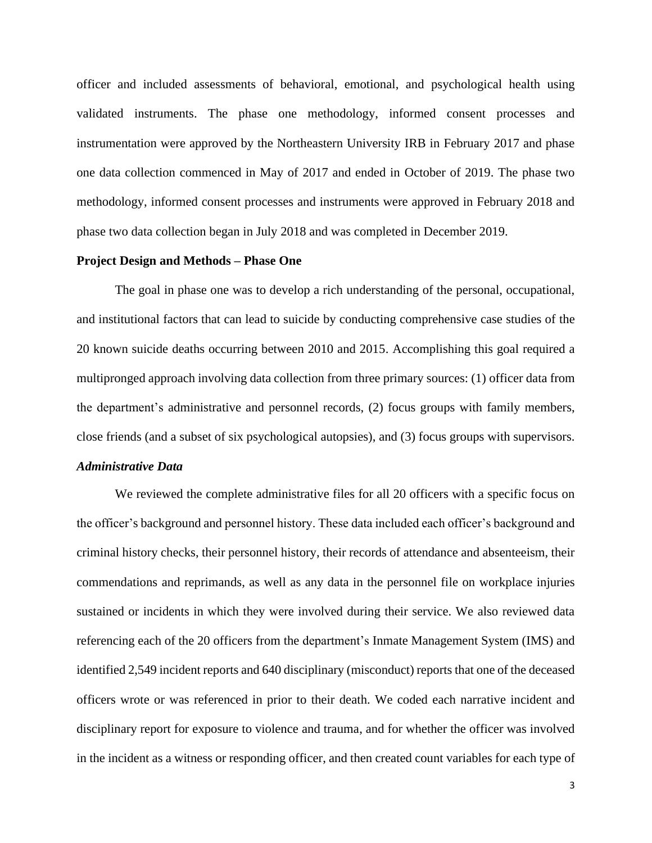officer and included assessments of behavioral, emotional, and psychological health using validated instruments. The phase one methodology, informed consent processes and instrumentation were approved by the Northeastern University IRB in February 2017 and phase one data collection commenced in May of 2017 and ended in October of 2019. The phase two methodology, informed consent processes and instruments were approved in February 2018 and phase two data collection began in July 2018 and was completed in December 2019.

### **Project Design and Methods – Phase One**

The goal in phase one was to develop a rich understanding of the personal, occupational, and institutional factors that can lead to suicide by conducting comprehensive case studies of the 20 known suicide deaths occurring between 2010 and 2015. Accomplishing this goal required a multipronged approach involving data collection from three primary sources: (1) officer data from the department's administrative and personnel records, (2) focus groups with family members, close friends (and a subset of six psychological autopsies), and (3) focus groups with supervisors.

# *Administrative Data*

We reviewed the complete administrative files for all 20 officers with a specific focus on the officer's background and personnel history. These data included each officer's background and criminal history checks, their personnel history, their records of attendance and absenteeism, their commendations and reprimands, as well as any data in the personnel file on workplace injuries sustained or incidents in which they were involved during their service. We also reviewed data referencing each of the 20 officers from the department's Inmate Management System (IMS) and identified 2,549 incident reports and 640 disciplinary (misconduct) reports that one of the deceased officers wrote or was referenced in prior to their death. We coded each narrative incident and disciplinary report for exposure to violence and trauma, and for whether the officer was involved in the incident as a witness or responding officer, and then created count variables for each type of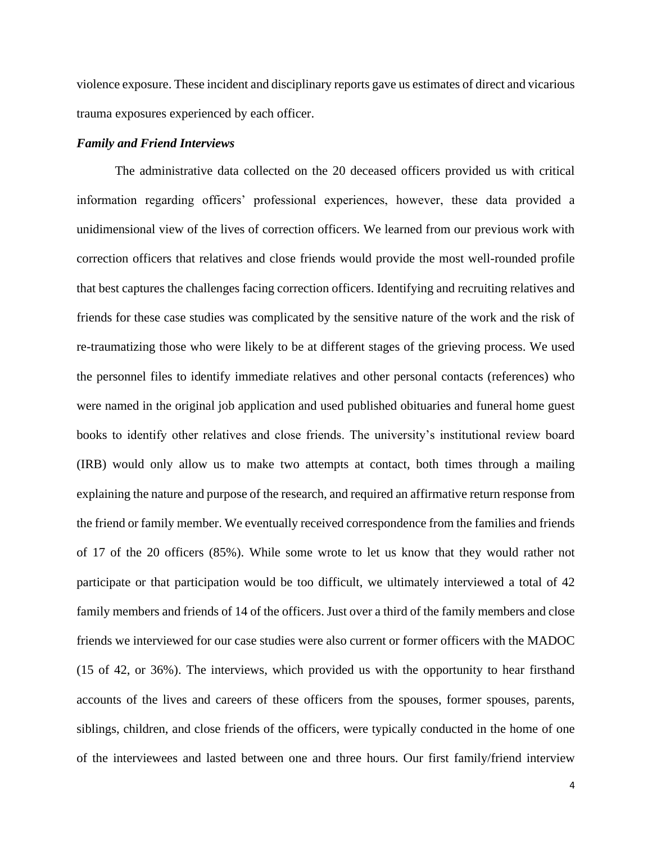violence exposure. These incident and disciplinary reports gave us estimates of direct and vicarious trauma exposures experienced by each officer.

## *Family and Friend Interviews*

The administrative data collected on the 20 deceased officers provided us with critical information regarding officers' professional experiences, however, these data provided a unidimensional view of the lives of correction officers. We learned from our previous work with correction officers that relatives and close friends would provide the most well-rounded profile that best captures the challenges facing correction officers. Identifying and recruiting relatives and friends for these case studies was complicated by the sensitive nature of the work and the risk of re-traumatizing those who were likely to be at different stages of the grieving process. We used the personnel files to identify immediate relatives and other personal contacts (references) who were named in the original job application and used published obituaries and funeral home guest books to identify other relatives and close friends. The university's institutional review board (IRB) would only allow us to make two attempts at contact, both times through a mailing explaining the nature and purpose of the research, and required an affirmative return response from the friend or family member. We eventually received correspondence from the families and friends of 17 of the 20 officers (85%). While some wrote to let us know that they would rather not participate or that participation would be too difficult, we ultimately interviewed a total of 42 family members and friends of 14 of the officers. Just over a third of the family members and close friends we interviewed for our case studies were also current or former officers with the MADOC (15 of 42, or 36%). The interviews, which provided us with the opportunity to hear firsthand accounts of the lives and careers of these officers from the spouses, former spouses, parents, siblings, children, and close friends of the officers, were typically conducted in the home of one of the interviewees and lasted between one and three hours. Our first family/friend interview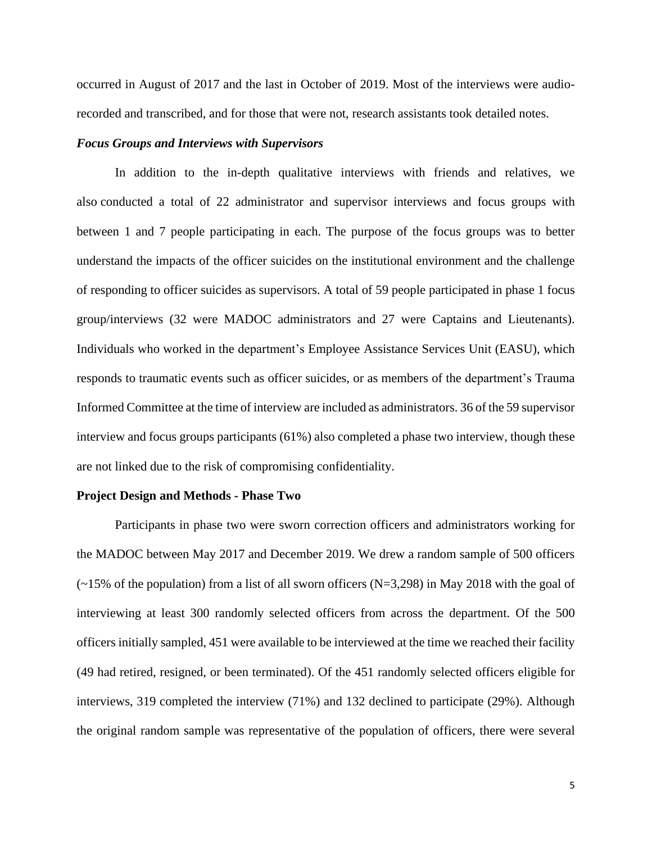occurred in August of 2017 and the last in October of 2019. Most of the interviews were audiorecorded and transcribed, and for those that were not, research assistants took detailed notes.

## *Focus Groups and Interviews with Supervisors*

In addition to the in-depth qualitative interviews with friends and relatives, we also conducted a total of 22 administrator and supervisor interviews and focus groups with between 1 and 7 people participating in each. The purpose of the focus groups was to better understand the impacts of the officer suicides on the institutional environment and the challenge of responding to officer suicides as supervisors. A total of 59 people participated in phase 1 focus group/interviews (32 were MADOC administrators and 27 were Captains and Lieutenants). Individuals who worked in the department's Employee Assistance Services Unit (EASU), which responds to traumatic events such as officer suicides, or as members of the department's Trauma Informed Committee at the time of interview are included as administrators. 36 of the 59 supervisor interview and focus groups participants (61%) also completed a phase two interview, though these are not linked due to the risk of compromising confidentiality.

#### **Project Design and Methods - Phase Two**

Participants in phase two were sworn correction officers and administrators working for the MADOC between May 2017 and December 2019. We drew a random sample of 500 officers  $\sim$  15% of the population) from a list of all sworn officers (N=3,298) in May 2018 with the goal of interviewing at least 300 randomly selected officers from across the department. Of the 500 officers initially sampled, 451 were available to be interviewed at the time we reached their facility (49 had retired, resigned, or been terminated). Of the 451 randomly selected officers eligible for interviews, 319 completed the interview (71%) and 132 declined to participate (29%). Although the original random sample was representative of the population of officers, there were several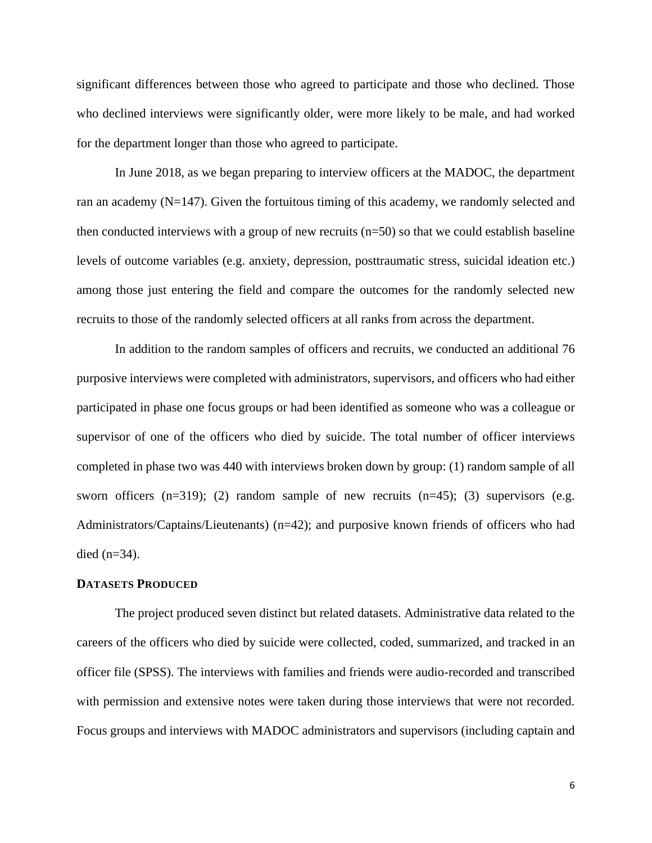significant differences between those who agreed to participate and those who declined. Those who declined interviews were significantly older, were more likely to be male, and had worked for the department longer than those who agreed to participate.

In June 2018, as we began preparing to interview officers at the MADOC, the department ran an academy  $(N=147)$ . Given the fortuitous timing of this academy, we randomly selected and then conducted interviews with a group of new recruits (n=50) so that we could establish baseline levels of outcome variables (e.g. anxiety, depression, posttraumatic stress, suicidal ideation etc.) among those just entering the field and compare the outcomes for the randomly selected new recruits to those of the randomly selected officers at all ranks from across the department.

In addition to the random samples of officers and recruits, we conducted an additional 76 purposive interviews were completed with administrators, supervisors, and officers who had either participated in phase one focus groups or had been identified as someone who was a colleague or supervisor of one of the officers who died by suicide. The total number of officer interviews completed in phase two was 440 with interviews broken down by group: (1) random sample of all sworn officers  $(n=319)$ ; (2) random sample of new recruits  $(n=45)$ ; (3) supervisors (e.g. Administrators/Captains/Lieutenants) (n=42); and purposive known friends of officers who had died  $(n=34)$ .

#### **DATASETS PRODUCED**

The project produced seven distinct but related datasets. Administrative data related to the careers of the officers who died by suicide were collected, coded, summarized, and tracked in an officer file (SPSS). The interviews with families and friends were audio-recorded and transcribed with permission and extensive notes were taken during those interviews that were not recorded. Focus groups and interviews with MADOC administrators and supervisors (including captain and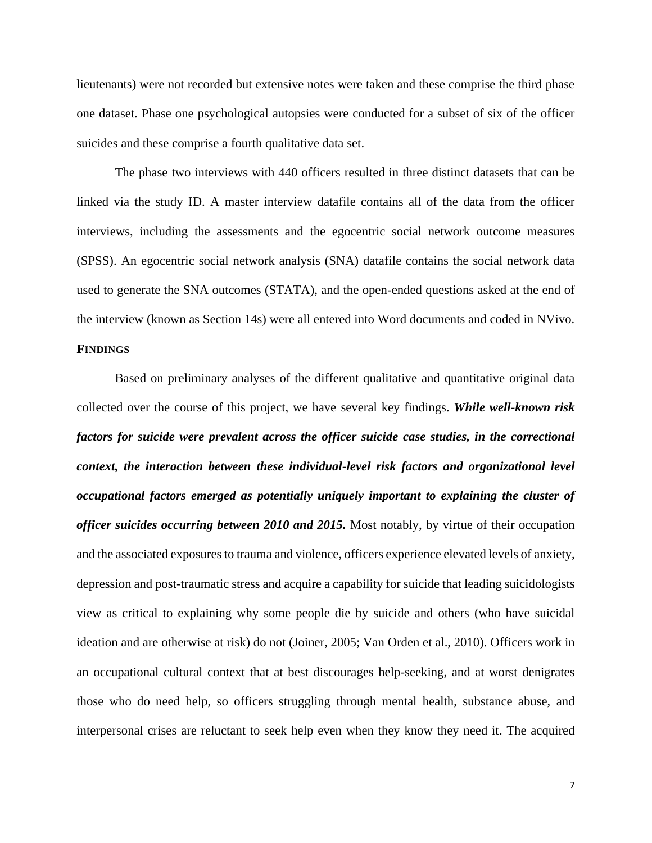lieutenants) were not recorded but extensive notes were taken and these comprise the third phase one dataset. Phase one psychological autopsies were conducted for a subset of six of the officer suicides and these comprise a fourth qualitative data set.

The phase two interviews with 440 officers resulted in three distinct datasets that can be linked via the study ID. A master interview datafile contains all of the data from the officer interviews, including the assessments and the egocentric social network outcome measures (SPSS). An egocentric social network analysis (SNA) datafile contains the social network data used to generate the SNA outcomes (STATA), and the open-ended questions asked at the end of the interview (known as Section 14s) were all entered into Word documents and coded in NVivo.

# **FINDINGS**

Based on preliminary analyses of the different qualitative and quantitative original data collected over the course of this project, we have several key findings. *While well-known risk factors for suicide were prevalent across the officer suicide case studies, in the correctional context, the interaction between these individual-level risk factors and organizational level occupational factors emerged as potentially uniquely important to explaining the cluster of officer suicides occurring between 2010 and 2015.* Most notably, by virtue of their occupation and the associated exposures to trauma and violence, officers experience elevated levels of anxiety, depression and post-traumatic stress and acquire a capability for suicide that leading suicidologists view as critical to explaining why some people die by suicide and others (who have suicidal ideation and are otherwise at risk) do not (Joiner, 2005; Van Orden et al., 2010). Officers work in an occupational cultural context that at best discourages help-seeking, and at worst denigrates those who do need help, so officers struggling through mental health, substance abuse, and interpersonal crises are reluctant to seek help even when they know they need it. The acquired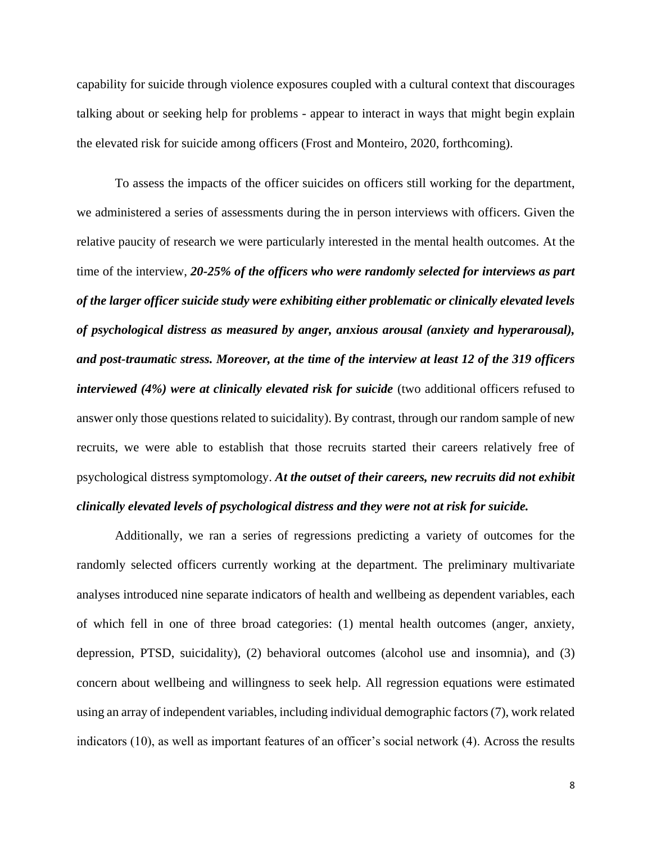capability for suicide through violence exposures coupled with a cultural context that discourages talking about or seeking help for problems - appear to interact in ways that might begin explain the elevated risk for suicide among officers (Frost and Monteiro, 2020, forthcoming).

To assess the impacts of the officer suicides on officers still working for the department, we administered a series of assessments during the in person interviews with officers. Given the relative paucity of research we were particularly interested in the mental health outcomes. At the time of the interview, *20-25% of the officers who were randomly selected for interviews as part of the larger officer suicide study were exhibiting either problematic or clinically elevated levels of psychological distress as measured by anger, anxious arousal (anxiety and hyperarousal), and post-traumatic stress. Moreover, at the time of the interview at least 12 of the 319 officers interviewed (4%) were at clinically elevated risk for suicide* (two additional officers refused to answer only those questions related to suicidality). By contrast, through our random sample of new recruits, we were able to establish that those recruits started their careers relatively free of psychological distress symptomology. *At the outset of their careers, new recruits did not exhibit clinically elevated levels of psychological distress and they were not at risk for suicide.*

Additionally, we ran a series of regressions predicting a variety of outcomes for the randomly selected officers currently working at the department. The preliminary multivariate analyses introduced nine separate indicators of health and wellbeing as dependent variables, each of which fell in one of three broad categories: (1) mental health outcomes (anger, anxiety, depression, PTSD, suicidality), (2) behavioral outcomes (alcohol use and insomnia), and (3) concern about wellbeing and willingness to seek help. All regression equations were estimated using an array of independent variables, including individual demographic factors (7), work related indicators (10), as well as important features of an officer's social network (4). Across the results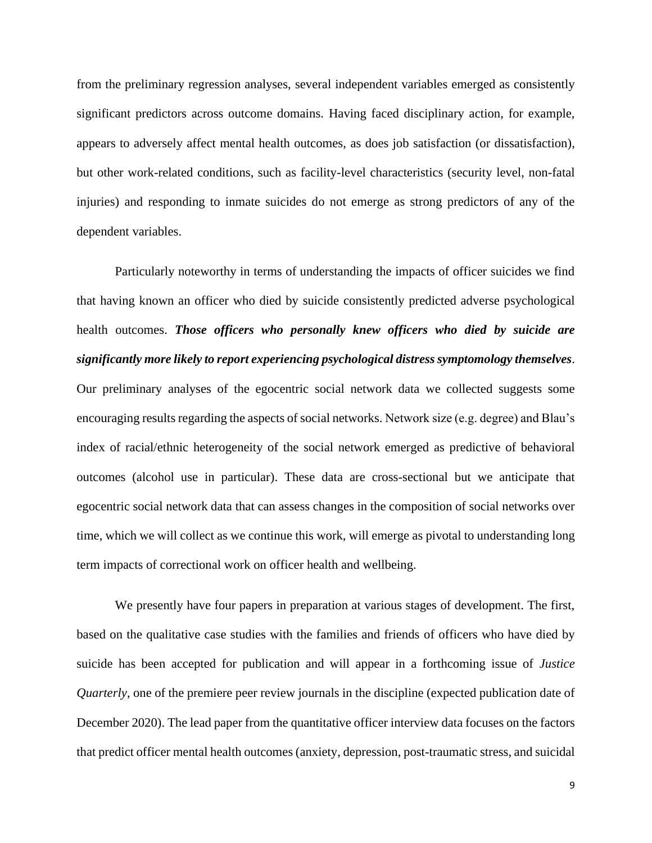from the preliminary regression analyses, several independent variables emerged as consistently significant predictors across outcome domains. Having faced disciplinary action, for example, appears to adversely affect mental health outcomes, as does job satisfaction (or dissatisfaction), but other work-related conditions, such as facility-level characteristics (security level, non-fatal injuries) and responding to inmate suicides do not emerge as strong predictors of any of the dependent variables.

Particularly noteworthy in terms of understanding the impacts of officer suicides we find that having known an officer who died by suicide consistently predicted adverse psychological health outcomes. *Those officers who personally knew officers who died by suicide are significantly more likely to report experiencing psychological distress symptomology themselves*. Our preliminary analyses of the egocentric social network data we collected suggests some encouraging results regarding the aspects of social networks. Network size (e.g. degree) and Blau's index of racial/ethnic heterogeneity of the social network emerged as predictive of behavioral outcomes (alcohol use in particular). These data are cross-sectional but we anticipate that egocentric social network data that can assess changes in the composition of social networks over time, which we will collect as we continue this work, will emerge as pivotal to understanding long term impacts of correctional work on officer health and wellbeing.

We presently have four papers in preparation at various stages of development. The first, based on the qualitative case studies with the families and friends of officers who have died by suicide has been accepted for publication and will appear in a forthcoming issue of *Justice Quarterly*, one of the premiere peer review journals in the discipline (expected publication date of December 2020). The lead paper from the quantitative officer interview data focuses on the factors that predict officer mental health outcomes (anxiety, depression, post-traumatic stress, and suicidal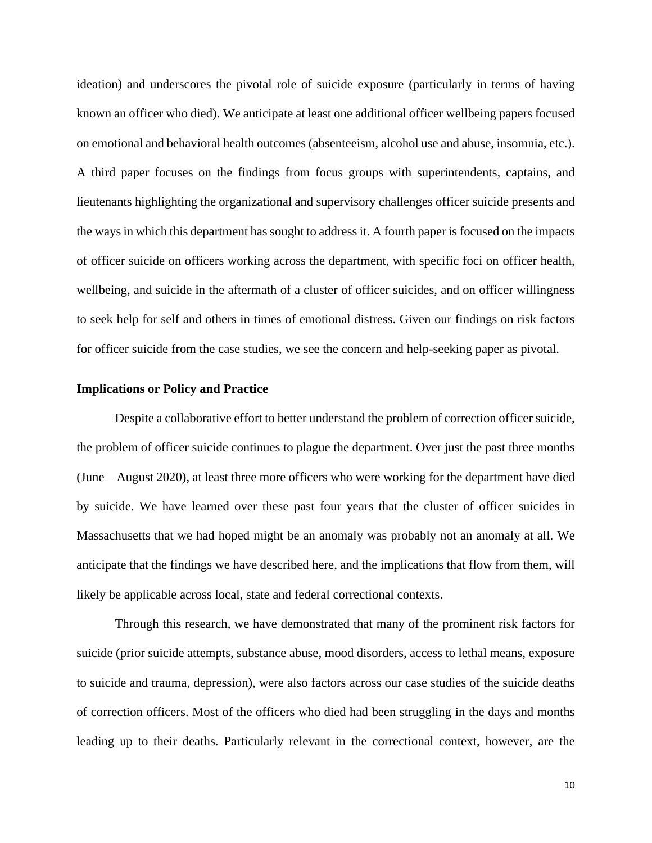ideation) and underscores the pivotal role of suicide exposure (particularly in terms of having known an officer who died). We anticipate at least one additional officer wellbeing papers focused on emotional and behavioral health outcomes (absenteeism, alcohol use and abuse, insomnia, etc.). A third paper focuses on the findings from focus groups with superintendents, captains, and lieutenants highlighting the organizational and supervisory challenges officer suicide presents and the ways in which this department has sought to address it. A fourth paper is focused on the impacts of officer suicide on officers working across the department, with specific foci on officer health, wellbeing, and suicide in the aftermath of a cluster of officer suicides, and on officer willingness to seek help for self and others in times of emotional distress. Given our findings on risk factors for officer suicide from the case studies, we see the concern and help-seeking paper as pivotal.

## **Implications or Policy and Practice**

Despite a collaborative effort to better understand the problem of correction officer suicide, the problem of officer suicide continues to plague the department. Over just the past three months (June – August 2020), at least three more officers who were working for the department have died by suicide. We have learned over these past four years that the cluster of officer suicides in Massachusetts that we had hoped might be an anomaly was probably not an anomaly at all. We anticipate that the findings we have described here, and the implications that flow from them, will likely be applicable across local, state and federal correctional contexts.

Through this research, we have demonstrated that many of the prominent risk factors for suicide (prior suicide attempts, substance abuse, mood disorders, access to lethal means, exposure to suicide and trauma, depression), were also factors across our case studies of the suicide deaths of correction officers. Most of the officers who died had been struggling in the days and months leading up to their deaths. Particularly relevant in the correctional context, however, are the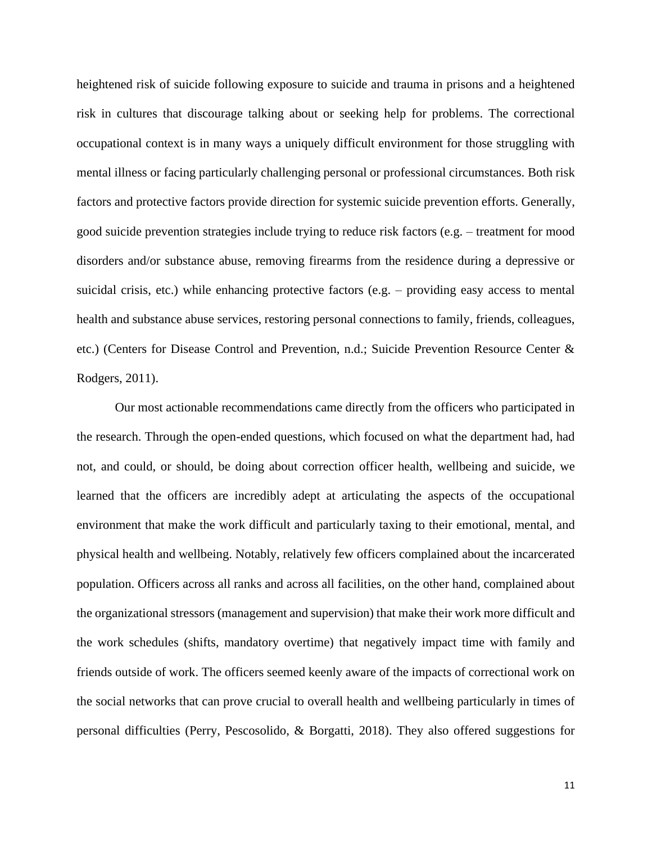heightened risk of suicide following exposure to suicide and trauma in prisons and a heightened risk in cultures that discourage talking about or seeking help for problems. The correctional occupational context is in many ways a uniquely difficult environment for those struggling with mental illness or facing particularly challenging personal or professional circumstances. Both risk factors and protective factors provide direction for systemic suicide prevention efforts. Generally, good suicide prevention strategies include trying to reduce risk factors (e.g. – treatment for mood disorders and/or substance abuse, removing firearms from the residence during a depressive or suicidal crisis, etc.) while enhancing protective factors (e.g. – providing easy access to mental health and substance abuse services, restoring personal connections to family, friends, colleagues, etc.) (Centers for Disease Control and Prevention, n.d.; Suicide Prevention Resource Center & Rodgers, 2011).

Our most actionable recommendations came directly from the officers who participated in the research. Through the open-ended questions, which focused on what the department had, had not, and could, or should, be doing about correction officer health, wellbeing and suicide, we learned that the officers are incredibly adept at articulating the aspects of the occupational environment that make the work difficult and particularly taxing to their emotional, mental, and physical health and wellbeing. Notably, relatively few officers complained about the incarcerated population. Officers across all ranks and across all facilities, on the other hand, complained about the organizational stressors (management and supervision) that make their work more difficult and the work schedules (shifts, mandatory overtime) that negatively impact time with family and friends outside of work. The officers seemed keenly aware of the impacts of correctional work on the social networks that can prove crucial to overall health and wellbeing particularly in times of personal difficulties (Perry, Pescosolido, & Borgatti, 2018). They also offered suggestions for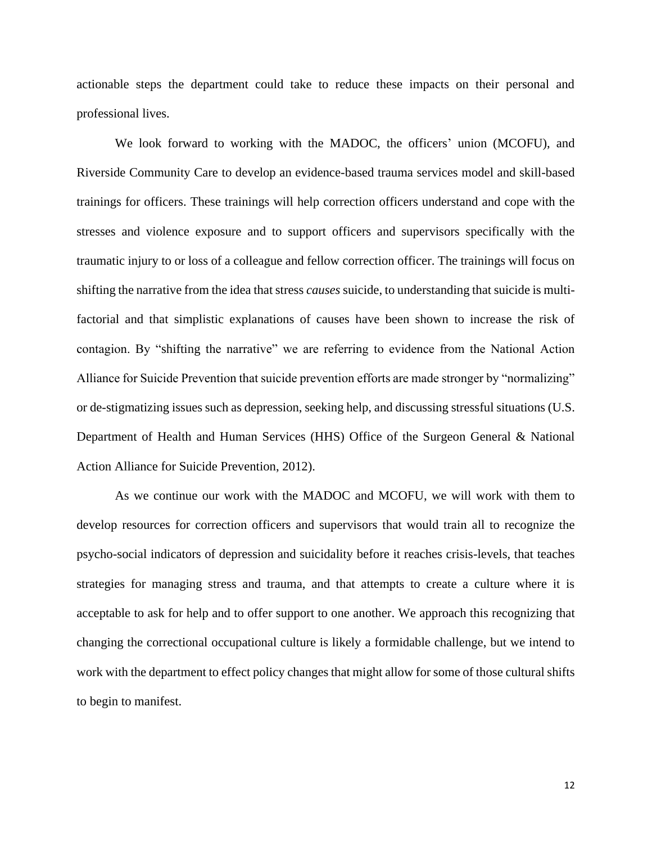actionable steps the department could take to reduce these impacts on their personal and professional lives.

We look forward to working with the MADOC, the officers' union (MCOFU), and Riverside Community Care to develop an evidence-based trauma services model and skill-based trainings for officers. These trainings will help correction officers understand and cope with the stresses and violence exposure and to support officers and supervisors specifically with the traumatic injury to or loss of a colleague and fellow correction officer. The trainings will focus on shifting the narrative from the idea that stress *causes* suicide, to understanding that suicide is multifactorial and that simplistic explanations of causes have been shown to increase the risk of contagion. By "shifting the narrative" we are referring to evidence from the National Action Alliance for Suicide Prevention that suicide prevention efforts are made stronger by "normalizing" or de-stigmatizing issues such as depression, seeking help, and discussing stressful situations (U.S. Department of Health and Human Services (HHS) Office of the Surgeon General & National Action Alliance for Suicide Prevention, 2012).

As we continue our work with the MADOC and MCOFU, we will work with them to develop resources for correction officers and supervisors that would train all to recognize the psycho-social indicators of depression and suicidality before it reaches crisis-levels, that teaches strategies for managing stress and trauma, and that attempts to create a culture where it is acceptable to ask for help and to offer support to one another. We approach this recognizing that changing the correctional occupational culture is likely a formidable challenge, but we intend to work with the department to effect policy changes that might allow for some of those cultural shifts to begin to manifest.